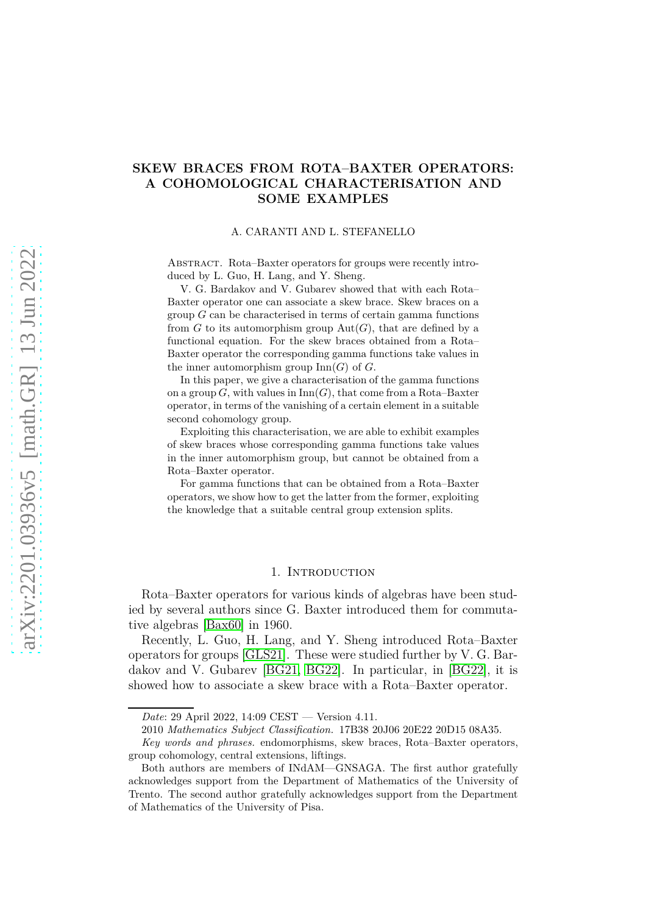## **SKEW BRACES FROM ROTA–BAXTER OPERATORS: A COHOMOLOGICAL CHARACTERISATION AND SOME EXAMPLES**

### A. CARANTI AND L. STEFANELLO

Abstract. Rota–Baxter operators for groups were recently introduced by L. Guo, H. Lang, and Y. Sheng.

V. G. Bardakov and V. Gubarev showed that with each Rota– Baxter operator one can associate a skew brace. Skew braces on a group *G* can be characterised in terms of certain gamma functions from  $G$  to its automorphism group  $Aut(G)$ , that are defined by a functional equation. For the skew braces obtained from a Rota– Baxter operator the corresponding gamma functions take values in the inner automorphism group  $\text{Inn}(G)$  of  $G$ .

In this paper, we give a characterisation of the gamma functions on a group  $G$ , with values in  $\text{Inn}(G)$ , that come from a Rota–Baxter operator, in terms of the vanishing of a certain element in a suitable second cohomology group.

Exploiting this characterisation, we are able to exhibit examples of skew braces whose corresponding gamma functions take values in the inner automorphism group, but cannot be obtained from a Rota–Baxter operator.

For gamma functions that can be obtained from a Rota–Baxter operators, we show how to get the latter from the former, exploiting the knowledge that a suitable central group extension splits.

#### 1. Introduction

Rota–Baxter operators for various kinds of algebras have been studied by several authors since G. Baxter introduced them for commutative algebras [\[Bax60\]](#page-12-0) in 1960.

Recently, L. Guo, H. Lang, and Y. Sheng introduced Rota–Baxter operators for groups [\[GLS21\]](#page-13-0). These were studied further by V. G. Bardakov and V. Gubarev [\[BG21,](#page-12-1) [BG22\]](#page-12-2). In particular, in [\[BG22\]](#page-12-2), it is showed how to associate a skew brace with a Rota–Baxter operator.

*Date*: 29 April 2022, 14:09 CEST — Version 4.11.

<sup>2010</sup> *Mathematics Subject Classification.* 17B38 20J06 20E22 20D15 08A35.

*Key words and phrases.* endomorphisms, skew braces, Rota–Baxter operators, group cohomology, central extensions, liftings.

Both authors are members of INdAM—GNSAGA. The first author gratefully acknowledges support from the Department of Mathematics of the University of Trento. The second author gratefully acknowledges support from the Department of Mathematics of the University of Pisa.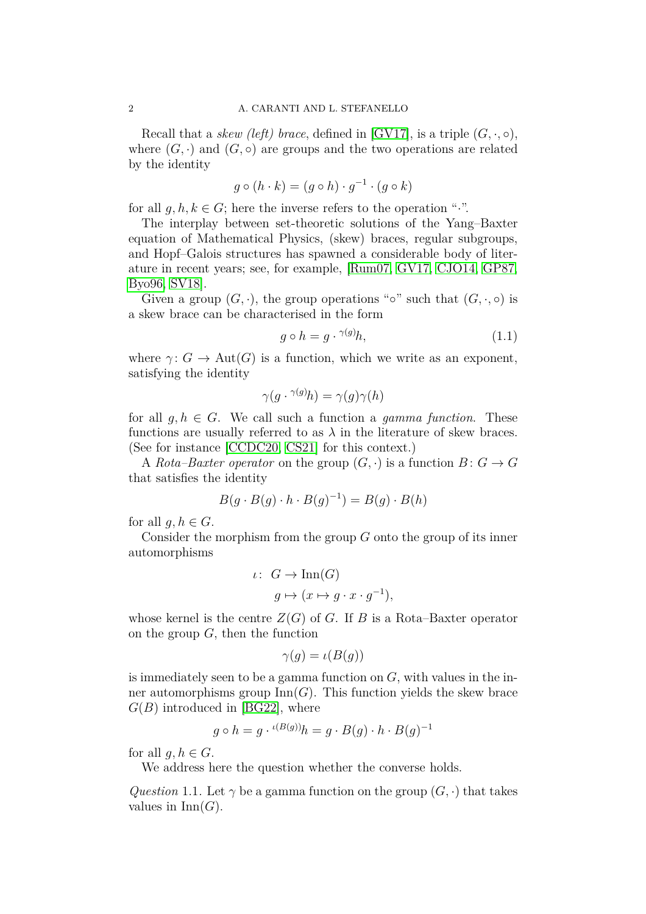Recall that a *skew (left) brace*, defined in [\[GV17\]](#page-13-1), is a triple  $(G, \cdot, \circ)$ , where  $(G, \cdot)$  and  $(G, \circ)$  are groups and the two operations are related by the identity

$$
g \circ (h \cdot k) = (g \circ h) \cdot g^{-1} \cdot (g \circ k)
$$

for all  $q, h, k \in G$ ; here the inverse refers to the operation ".".

The interplay between set-theoretic solutions of the Yang–Baxter equation of Mathematical Physics, (skew) braces, regular subgroups, and Hopf–Galois structures has spawned a considerable body of literature in recent years; see, for example, [\[Rum07,](#page-13-2) [GV17,](#page-13-1) [CJO14,](#page-13-3) [GP87,](#page-13-4) [Byo96,](#page-12-3) [SV18\]](#page-13-5).

Given a group  $(G, \cdot)$ , the group operations "<sup>o</sup>" such that  $(G, \cdot, \circ)$  is a skew brace can be characterised in the form

<span id="page-1-1"></span>
$$
g \circ h = g \cdot ^{\gamma(g)}h,\tag{1.1}
$$

where  $\gamma: G \to \text{Aut}(G)$  is a function, which we write as an exponent, satisfying the identity

$$
\gamma(g \cdot {}^{\gamma(g)}h) = \gamma(g)\gamma(h)
$$

for all  $g, h \in G$ . We call such a function a *gamma function*. These functions are usually referred to as  $\lambda$  in the literature of skew braces. (See for instance [\[CCDC20,](#page-13-6) [CS21\]](#page-13-7) for this context.)

A *Rota–Baxter operator* on the group  $(G, \cdot)$  is a function  $B: G \to G$ that satisfies the identity

$$
B(g \cdot B(g) \cdot h \cdot B(g)^{-1}) = B(g) \cdot B(h)
$$

for all  $g, h \in G$ .

Consider the morphism from the group *G* onto the group of its inner automorphisms

$$
\iota: G \to \text{Inn}(G)
$$

$$
g \mapsto (x \mapsto g \cdot x \cdot g^{-1}),
$$

whose kernel is the centre  $Z(G)$  of *G*. If *B* is a Rota–Baxter operator on the group *G*, then the function

$$
\gamma(g) = \iota(B(g))
$$

is immediately seen to be a gamma function on *G*, with values in the inner automorphisms group  $\text{Inn}(G)$ . This function yields the skew brace  $G(B)$  introduced in [\[BG22\]](#page-12-2), where

$$
g \circ h = g \cdot {}^{\iota(B(g))}h = g \cdot B(g) \cdot h \cdot B(g)^{-1}
$$

for all  $g, h \in G$ .

We address here the question whether the converse holds.

<span id="page-1-0"></span>*Question* 1.1. Let  $\gamma$  be a gamma function on the group  $(G, \cdot)$  that takes values in  $\text{Inn}(G)$ .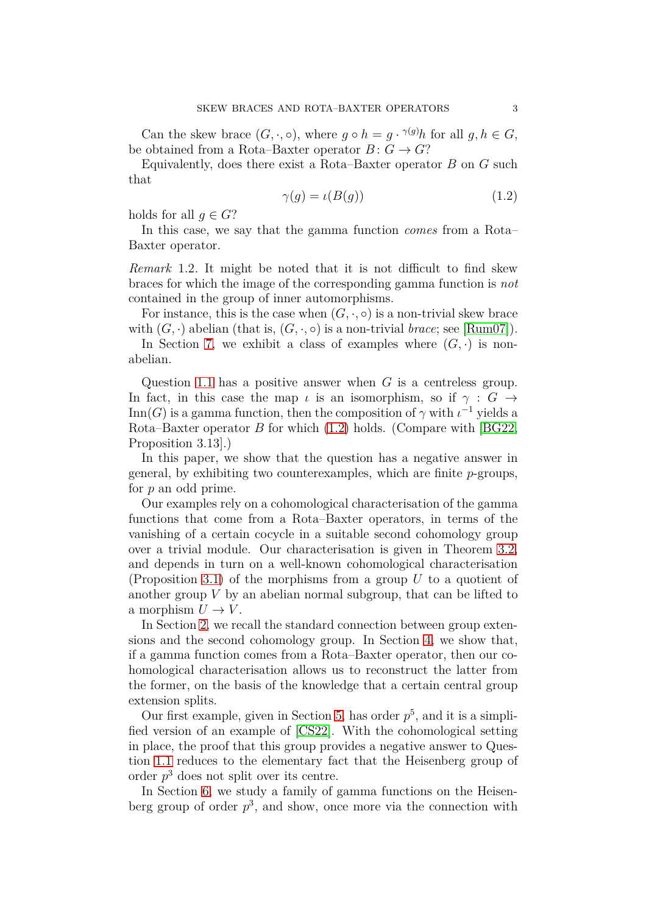Can the skew brace  $(G, \cdot, \circ)$ , where  $g \circ h = g \cdot \gamma(g)h$  for all  $g, h \in G$ , be obtained from a Rota–Baxter operator  $B: G \to G$ ?

Equivalently, does there exist a Rota–Baxter operator *B* on *G* such that

<span id="page-2-0"></span>
$$
\gamma(g) = \iota(B(g))\tag{1.2}
$$

holds for all  $q \in G$ ?

In this case, we say that the gamma function *comes* from a Rota– Baxter operator.

*Remark* 1.2*.* It might be noted that it is not difficult to find skew braces for which the image of the corresponding gamma function is *not* contained in the group of inner automorphisms.

For instance, this is the case when  $(G, \cdot, \circ)$  is a non-trivial skew brace with  $(G, \cdot)$  abelian (that is,  $(G, \cdot, \circ)$  is a non-trivial *brace*; see [\[Rum07\]](#page-13-2)).

In Section [7,](#page-12-4) we exhibit a class of examples where  $(G, \cdot)$  is nonabelian.

Question [1.1](#page-1-0) has a positive answer when *G* is a centreless group. In fact, in this case the map *ι* is an isomorphism, so if  $\gamma : G \rightarrow$ Inn(*G*) is a gamma function, then the composition of  $\gamma$  with  $\iota^{-1}$  yields a Rota–Baxter operator *B* for which [\(1.2\)](#page-2-0) holds. (Compare with [\[BG22,](#page-12-2) Proposition 3.13].)

In this paper, we show that the question has a negative answer in general, by exhibiting two counterexamples, which are finite *p*-groups, for *p* an odd prime.

Our examples rely on a cohomological characterisation of the gamma functions that come from a Rota–Baxter operators, in terms of the vanishing of a certain cocycle in a suitable second cohomology group over a trivial module. Our characterisation is given in Theorem [3.2,](#page-5-0) and depends in turn on a well-known cohomological characterisation (Proposition [3.1\)](#page-4-0) of the morphisms from a group *U* to a quotient of another group *V* by an abelian normal subgroup, that can be lifted to a morphism  $U \to V$ .

In Section [2,](#page-3-0) we recall the standard connection between group extensions and the second cohomology group. In Section [4,](#page-5-1) we show that, if a gamma function comes from a Rota–Baxter operator, then our cohomological characterisation allows us to reconstruct the latter from the former, on the basis of the knowledge that a certain central group extension splits.

Our first example, given in Section [5,](#page-6-0) has order  $p^5$ , and it is a simplified version of an example of [\[CS22\]](#page-13-8). With the cohomological setting in place, the proof that this group provides a negative answer to Question [1.1](#page-1-0) reduces to the elementary fact that the Heisenberg group of order *p* <sup>3</sup> does not split over its centre.

In Section [6,](#page-9-0) we study a family of gamma functions on the Heisenberg group of order  $p^3$ , and show, once more via the connection with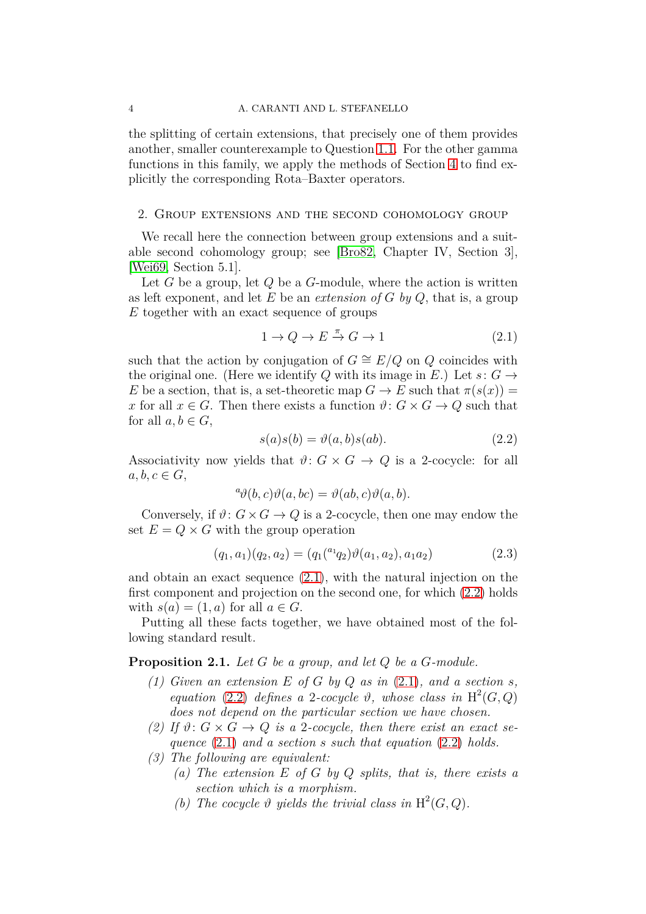the splitting of certain extensions, that precisely one of them provides another, smaller counterexample to Question [1.1.](#page-1-0) For the other gamma functions in this family, we apply the methods of Section [4](#page-5-1) to find explicitly the corresponding Rota–Baxter operators.

### <span id="page-3-0"></span>2. Group extensions and the second cohomology group

We recall here the connection between group extensions and a suitable second cohomology group; see [\[Bro82,](#page-12-5) Chapter IV, Section 3], [\[Wei69,](#page-13-9) Section 5.1].

Let *G* be a group, let *Q* be a *G*-module, where the action is written as left exponent, and let *E* be an *extension of G by Q*, that is, a group *E* together with an exact sequence of groups

<span id="page-3-1"></span>
$$
1 \to Q \to E \xrightarrow{\pi} G \to 1 \tag{2.1}
$$

such that the action by conjugation of  $G \cong E/Q$  on  $Q$  coincides with the original one. (Here we identify *Q* with its image in *E*.) Let  $s: G \rightarrow$ *E* be a section, that is, a set-theoretic map  $G \to E$  such that  $\pi(s(x)) =$ *x* for all  $x \in G$ . Then there exists a function  $\vartheta: G \times G \to Q$  such that for all  $a, b \in G$ ,

<span id="page-3-2"></span>
$$
s(a)s(b) = \vartheta(a, b)s(ab).
$$
 (2.2)

Associativity now yields that  $\vartheta: G \times G \to Q$  is a 2-cocycle: for all  $a, b, c \in G$ ,

$$
{}^a \vartheta(b,c) \vartheta(a,bc) = \vartheta(ab,c) \vartheta(a,b).
$$

Conversely, if  $\vartheta$ :  $G \times G \rightarrow Q$  is a 2-cocycle, then one may endow the set  $E = Q \times G$  with the group operation

<span id="page-3-4"></span>
$$
(q_1, a_1)(q_2, a_2) = (q_1({}^{a_1}q_2)\vartheta(a_1, a_2), a_1a_2)
$$
\n(2.3)

and obtain an exact sequence [\(2.1\)](#page-3-1), with the natural injection on the first component and projection on the second one, for which [\(2.2\)](#page-3-2) holds with  $s(a) = (1, a)$  for all  $a \in G$ .

Putting all these facts together, we have obtained most of the following standard result.

<span id="page-3-3"></span>**Proposition 2.1.** *Let G be a group, and let Q be a G-module.*

- (1) Given an extension  $E$  of  $G$  by  $Q$  as in  $(2.1)$ *, and a section s, equation* [\(2.2\)](#page-3-2) *defines* a 2*-cocycle*  $\vartheta$ *, whose class in* H<sup>2</sup>(*G, Q*) *does not depend on the particular section we have chosen.*
- (2) If  $\vartheta$ :  $G \times G \rightarrow Q$  *is a* 2-cocycle, then there exist an exact se*quence* [\(2.1\)](#page-3-1) *and a section s such that equation* [\(2.2\)](#page-3-2) *holds.*
- *(3) The following are equivalent:*
	- *(a) The extension E of G by Q splits, that is, there exists a section which is a morphism.*
		- (b) The cocycle  $\vartheta$  yields the trivial class in  $H^2(G, Q)$ .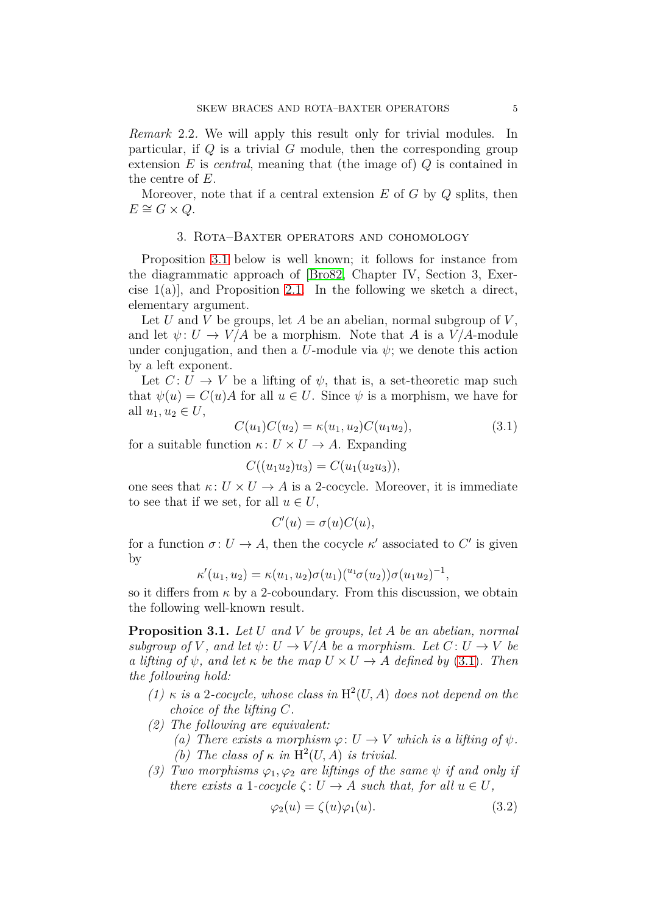*Remark* 2.2*.* We will apply this result only for trivial modules. In particular, if *Q* is a trivial *G* module, then the corresponding group extension *E* is *central*, meaning that (the image of) *Q* is contained in the centre of *E*.

<span id="page-4-2"></span>Moreover, note that if a central extension *E* of *G* by *Q* splits, then  $E \cong G \times Q$ .

### 3. Rota–Baxter operators and cohomology

Proposition [3.1](#page-4-0) below is well known; it follows for instance from the diagrammatic approach of [\[Bro82,](#page-12-5) Chapter IV, Section 3, Exercise  $1(a)$ , and Proposition [2.1.](#page-3-3) In the following we sketch a direct, elementary argument.

Let *U* and *V* be groups, let *A* be an abelian, normal subgroup of *V* , and let  $\psi: U \to V/A$  be a morphism. Note that A is a  $V/A$ -module under conjugation, and then a *U*-module via  $\psi$ ; we denote this action by a left exponent.

Let  $C: U \to V$  be a lifting of  $\psi$ , that is, a set-theoretic map such that  $\psi(u) = C(u)A$  for all  $u \in U$ . Since  $\psi$  is a morphism, we have for all  $u_1, u_2 \in U$ ,

<span id="page-4-1"></span>
$$
C(u_1)C(u_2) = \kappa(u_1, u_2)C(u_1u_2), \tag{3.1}
$$

for a suitable function  $\kappa: U \times U \rightarrow A$ . Expanding

$$
C((u_1u_2)u_3) = C(u_1(u_2u_3)),
$$

one sees that  $\kappa: U \times U \to A$  is a 2-cocycle. Moreover, it is immediate to see that if we set, for all  $u \in U$ ,

$$
C'(u) = \sigma(u)C(u),
$$

for a function  $\sigma: U \to A$ , then the cocycle  $\kappa'$  associated to  $C'$  is given by

$$
\kappa'(u_1, u_2) = \kappa(u_1, u_2)\sigma(u_1)^{(u_1} \sigma(u_2))\sigma(u_1 u_2)^{-1},
$$

so it differs from  $\kappa$  by a 2-coboundary. From this discussion, we obtain the following well-known result.

<span id="page-4-0"></span>**Proposition 3.1.** *Let U and V be groups, let A be an abelian, normal subgroup of V*, and let  $\psi: U \to V/A$  *be a morphism. Let*  $C: U \to V$  *be a lifting of*  $\psi$ *, and let*  $\kappa$  *be the map*  $U \times U \rightarrow A$  *defined by* [\(3.1\)](#page-4-1)*. Then the following hold:*

- $(1)$  *κ is a* 2*-cocycle, whose class in*  $H^2(U, A)$  *does not depend on the choice of the lifting C.*
- *(2) The following are equivalent:*
	- *(a)* There exists a morphism  $\varphi: U \to V$  which is a lifting of  $\psi$ .
	- (b) The class of  $\kappa$  *in* H<sup>2</sup>(*U, A*) *is trivial.*
- *(3) Two morphisms*  $\varphi_1, \varphi_2$  *are liftings of the same*  $\psi$  *if and only if there exists a* 1*-cocycle*  $\zeta: U \to A$  *such that, for all*  $u \in U$ *,*

$$
\varphi_2(u) = \zeta(u)\varphi_1(u). \tag{3.2}
$$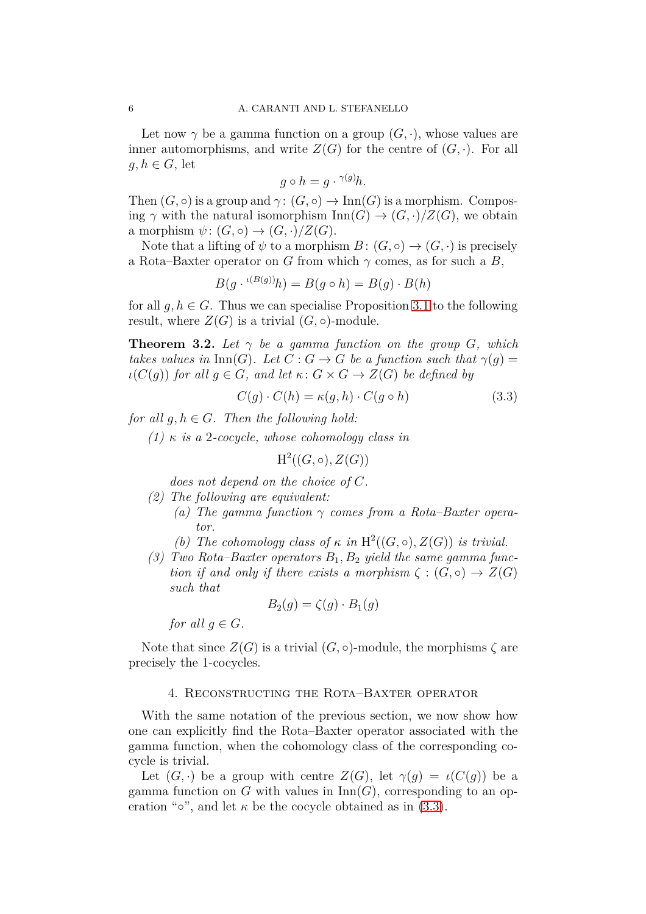Let now  $\gamma$  be a gamma function on a group  $(G, \cdot)$ , whose values are inner automorphisms, and write  $Z(G)$  for the centre of  $(G, \cdot)$ . For all  $q, h \in G$ , let

$$
g \circ h = g \cdot {}^{\gamma(g)}h.
$$

Then  $(G, \circ)$  is a group and  $\gamma: (G, \circ) \to \text{Inn}(G)$  is a morphism. Composing  $\gamma$  with the natural isomorphism  $\text{Inn}(G) \to (G, \cdot)/Z(G)$ , we obtain a morphism  $\psi: (G, \circ) \to (G, \cdot)/Z(G)$ .

Note that a lifting of  $\psi$  to a morphism  $B: (G, \circ) \to (G, \cdot)$  is precisely a Rota–Baxter operator on *G* from which  $\gamma$  comes, as for such a *B*,

$$
B(g \cdot {}^{\iota(B(g))}h) = B(g \circ h) = B(g) \cdot B(h)
$$

for all  $q, h \in G$ . Thus we can specialise Proposition [3.1](#page-4-0) to the following result, where  $Z(G)$  is a trivial  $(G, \circ)$ -module.

<span id="page-5-0"></span>**Theorem 3.2.** Let  $\gamma$  be a gamma function on the group *G*, which *takes values in* Inn(*G*)*.* Let  $C: G \rightarrow G$  be a function such that  $\gamma(q) =$  $\iota(C(q))$  *for all*  $q \in G$ *, and let*  $\kappa: G \times G \rightarrow Z(G)$  *be defined by* 

<span id="page-5-2"></span>
$$
C(g) \cdot C(h) = \kappa(g, h) \cdot C(g \circ h)
$$
\n(3.3)

*for all*  $q, h \in G$ *. Then the following hold:* 

*(1) κ is a* 2*-cocycle, whose cohomology class in*

$$
\mathrm{H}^2((G,\circ),Z(G))
$$

*does not depend on the choice of C.*

*(2) The following are equivalent:*

- *(a) The gamma function γ comes from a Rota–Baxter operator.*
- (b) The cohomology class of  $\kappa$  *in*  $H^2((G, \circ), Z(G))$  *is trivial.*
- *(3) Two Rota–Baxter operators B*1*, B*<sup>2</sup> *yield the same gamma function if and only if there exists a morphism*  $\zeta$  :  $(G, \circ) \rightarrow Z(G)$ *such that*

$$
B_2(g) = \zeta(g) \cdot B_1(g)
$$

*for all*  $q \in G$ *.* 

<span id="page-5-1"></span>Note that since  $Z(G)$  is a trivial  $(G, \circ)$ -module, the morphisms  $\zeta$  are precisely the 1-cocycles.

### 4. Reconstructing the Rota–Baxter operator

With the same notation of the previous section, we now show how one can explicitly find the Rota–Baxter operator associated with the gamma function, when the cohomology class of the corresponding cocycle is trivial.

Let  $(G, \cdot)$  be a group with centre  $Z(G)$ , let  $\gamma(q) = \iota(C(q))$  be a gamma function on *G* with values in  $\text{Inn}(G)$ , corresponding to an operation " $\circ$ ", and let  $\kappa$  be the cocycle obtained as in [\(3.3\)](#page-5-2).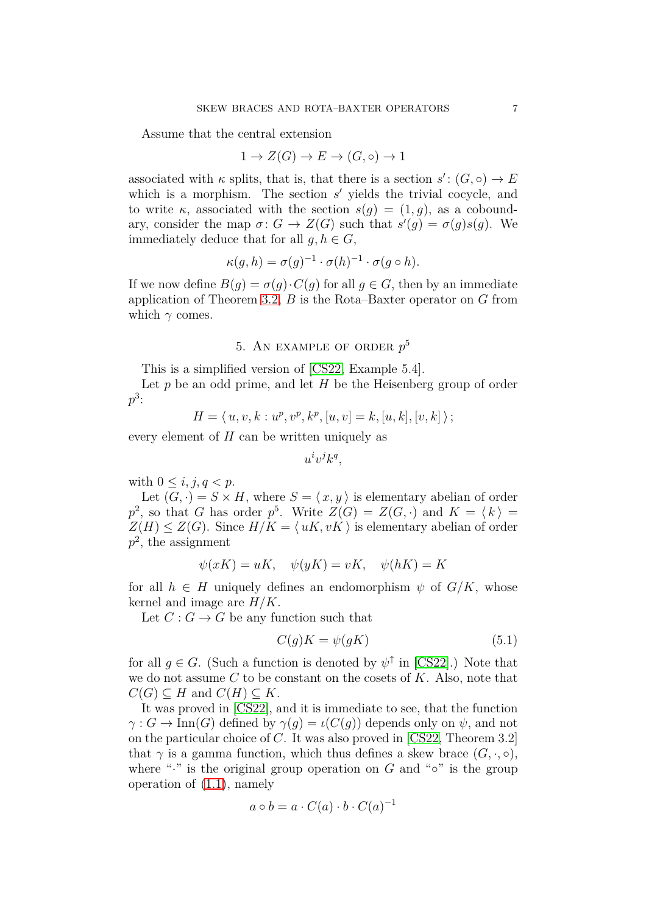Assume that the central extension

$$
1 \to Z(G) \to E \to (G, \circ) \to 1
$$

associated with  $\kappa$  splits, that is, that there is a section  $s' : (G, \circ) \to E$ which is a morphism. The section  $s'$  yields the trivial cocycle, and to write  $\kappa$ , associated with the section  $s(q) = (1, q)$ , as a coboundary, consider the map  $\sigma: G \to Z(G)$  such that  $s'(g) = \sigma(g)s(g)$ . We immediately deduce that for all  $q, h \in G$ ,

$$
\kappa(g, h) = \sigma(g)^{-1} \cdot \sigma(h)^{-1} \cdot \sigma(g \circ h).
$$

If we now define  $B(q) = \sigma(q) \cdot C(q)$  for all  $q \in G$ , then by an immediate application of Theorem [3.2,](#page-5-0) *B* is the Rota–Baxter operator on *G* from which  $\gamma$  comes.

# 5. An example of order *p* 5

<span id="page-6-0"></span>This is a simplified version of [\[CS22,](#page-13-8) Example 5.4].

Let *p* be an odd prime, and let *H* be the Heisenberg group of order  $p^3$ :

$$
H = \langle u, v, k : u^p, v^p, k^p, [u, v] = k, [u, k], [v, k] \rangle;
$$

every element of *H* can be written uniquely as

 $u^i v^j k^q$ ,

with  $0 \leq i, j, q < p$ .

Let  $(G, \cdot) = S \times H$ , where  $S = \langle x, y \rangle$  is elementary abelian of order  $p^2$ , so that *G* has order  $p^5$ . Write  $Z(G) = Z(G, \cdot)$  and  $K = \langle k \rangle =$  $Z(H) \leq Z(G)$ . Since  $H/K = \langle uK, vK \rangle$  is elementary abelian of order *p* 2 , the assignment

$$
\psi(xK) = uK, \quad \psi(yK) = vK, \quad \psi(hK) = K
$$

for all  $h \in H$  uniquely defines an endomorphism  $\psi$  of  $G/K$ , whose kernel and image are *H/K*.

Let  $C: G \to G$  be any function such that

<span id="page-6-1"></span>
$$
C(g)K = \psi(gK) \tag{5.1}
$$

for all  $g \in G$ . (Such a function is denoted by  $\psi^{\uparrow}$  in [\[CS22\]](#page-13-8).) Note that we do not assume *C* to be constant on the cosets of *K*. Also, note that  $C(G) \subseteq H$  and  $C(H) \subseteq K$ .

It was proved in [\[CS22\]](#page-13-8), and it is immediate to see, that the function  $\gamma: G \to \text{Inn}(G)$  defined by  $\gamma(q) = \iota(C(q))$  depends only on  $\psi$ , and not on the particular choice of *C*. It was also proved in [\[CS22,](#page-13-8) Theorem 3.2] that  $\gamma$  is a gamma function, which thus defines a skew brace  $(G, \cdot, \circ)$ , where "<sup>\*</sup>" is the original group operation on  $G$  and " $\circ$ " is the group operation of [\(1.1\)](#page-1-1), namely

$$
a \circ b = a \cdot C(a) \cdot b \cdot C(a)^{-1}
$$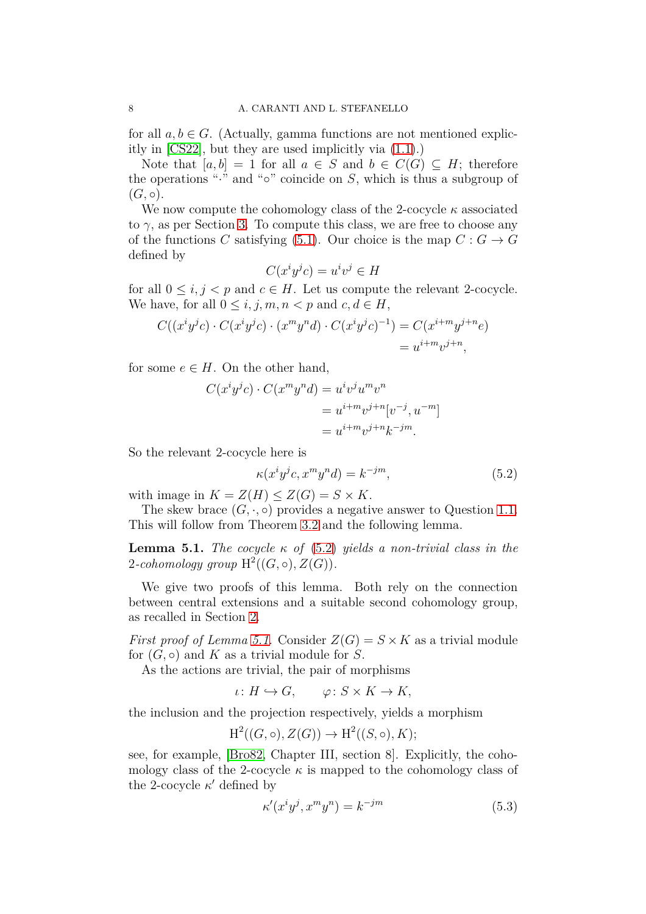for all  $a, b \in G$ . (Actually, gamma functions are not mentioned explicitly in [\[CS22\]](#page-13-8), but they are used implicitly via [\(1.1\)](#page-1-1).)

Note that  $[a, b] = 1$  for all  $a \in S$  and  $b \in C(G) \subseteq H$ ; therefore the operations "·" and "◦" coincide on *S*, which is thus a subgroup of  $(G, \circ).$ 

We now compute the cohomology class of the 2-cocycle  $\kappa$  associated to  $\gamma$ , as per Section [3.](#page-4-2) To compute this class, we are free to choose any of the functions *C* satisfying [\(5.1\)](#page-6-1). Our choice is the map  $C: G \to G$ defined by

$$
C(x^i y^j c) = u^i v^j \in H
$$

for all  $0 \leq i, j < p$  and  $c \in H$ . Let us compute the relevant 2-cocycle. We have, for all  $0 \leq i, j, m, n < p$  and  $c, d \in H$ ,

$$
C((x^iy^jc) \cdot C(x^iy^jc) \cdot (x^my^nd) \cdot C(x^iy^jc)^{-1}) = C(x^{i+m}y^{j+n}e)
$$
  
=  $u^{i+m}v^{j+n}$ ,

for some  $e \in H$ . On the other hand,

$$
C(x^i y^j c) \cdot C(x^m y^n d) = u^i v^j u^m v^n
$$
  
=  $u^{i+m} v^{j+n} [v^{-j}, u^{-m}]$   
=  $u^{i+m} v^{j+n} k^{-jm}$ .

So the relevant 2-cocycle here is

<span id="page-7-0"></span>
$$
\kappa(x^i y^j c, x^m y^n d) = k^{-jm},\tag{5.2}
$$

with image in  $K = Z(H) \leq Z(G) = S \times K$ .

The skew brace  $(G, \cdot, \circ)$  provides a negative answer to Question [1.1.](#page-1-0) This will follow from Theorem [3.2](#page-5-0) and the following lemma.

<span id="page-7-1"></span>**Lemma 5.1.** *The cocycle*  $κ$  *of* [\(5.2\)](#page-7-0) *yields a non-trivial class in the*  $2$ -cohomology group  $H^2((G, \circ), Z(G))$ .

We give two proofs of this lemma. Both rely on the connection between central extensions and a suitable second cohomology group, as recalled in Section [2.](#page-3-0)

*First proof of Lemma [5.1.](#page-7-1)* Consider  $Z(G) = S \times K$  as a trivial module for  $(G, \circ)$  and K as a trivial module for S.

As the actions are trivial, the pair of morphisms

 $\iota: H \hookrightarrow G, \qquad \varphi: S \times K \to K,$ 

the inclusion and the projection respectively, yields a morphism

$$
\mathrm{H}^2((G,\circ), Z(G)) \to \mathrm{H}^2((S,\circ), K);
$$

see, for example, [\[Bro82,](#page-12-5) Chapter III, section 8]. Explicitly, the cohomology class of the 2-cocycle  $\kappa$  is mapped to the cohomology class of the 2-cocycle  $\kappa'$  defined by

$$
\kappa'(x^i y^j, x^m y^n) = k^{-jm} \tag{5.3}
$$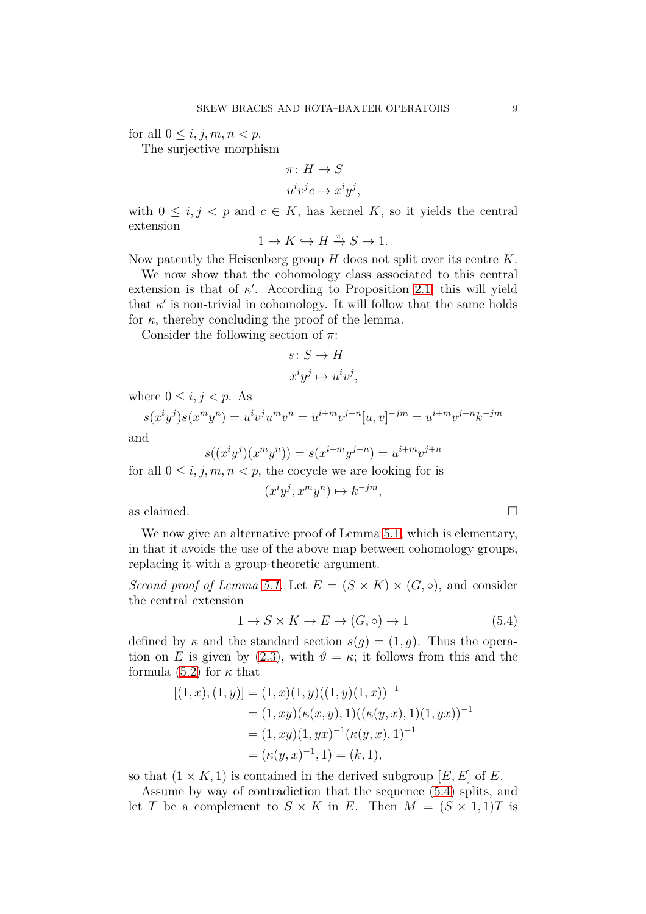for all  $0 \leq i, j, m, n < p$ .

The surjective morphism

$$
\pi: H \to S
$$
  

$$
u^i v^j c \mapsto x^i y^j,
$$

with  $0 \leq i, j \leq p$  and  $c \in K$ , has kernel K, so it yields the central extension

 $1 \to K \hookrightarrow H \stackrel{\pi}{\to} S \to 1.$ 

Now patently the Heisenberg group *H* does not split over its centre *K*.

We now show that the cohomology class associated to this central extension is that of  $\kappa'$ . According to Proposition [2.1,](#page-3-3) this will yield that  $\kappa'$  is non-trivial in cohomology. It will follow that the same holds for  $\kappa$ , thereby concluding the proof of the lemma.

Consider the following section of *π*:

$$
s \colon S \to H
$$

$$
x^i y^j \mapsto u^i v^j,
$$

where  $0 \leq i, j < p$ . As

$$
s(x^{i}y^{j})s(x^{m}y^{n}) = u^{i}v^{j}u^{m}v^{n} = u^{i+m}v^{j+n}[u,v]^{-jm} = u^{i+m}v^{j+n}k^{-jm}
$$

and

$$
s((x^{i}y^{j})(x^{m}y^{n})) = s(x^{i+m}y^{j+n}) = u^{i+m}v^{j+n}
$$

for all  $0 \leq i, j, m, n < p$ , the cocycle we are looking for is

 $(x^i y^j, x^m y^n) \mapsto k^{-jm}$ ,

as claimed.  $\square$ 

We now give an alternative proof of Lemma [5.1,](#page-7-1) which is elementary, in that it avoids the use of the above map between cohomology groups, replacing it with a group-theoretic argument.

*Second proof of Lemma [5.1.](#page-7-1)* Let  $E = (S \times K) \times (G, \circ)$ , and consider the central extension

<span id="page-8-0"></span>
$$
1 \to S \times K \to E \to (G, \circ) \to 1 \tag{5.4}
$$

defined by  $\kappa$  and the standard section  $s(q) = (1, q)$ . Thus the operation on *E* is given by [\(2.3\)](#page-3-4), with  $\vartheta = \kappa$ ; it follows from this and the formula [\(5.2\)](#page-7-0) for  $\kappa$  that

$$
[(1, x), (1, y)] = (1, x)(1, y)((1, y)(1, x))^{-1}
$$
  
= (1, xy)(\kappa(x, y), 1)((\kappa(y, x), 1)(1, yx))^{-1}  
= (1, xy)(1, yx)^{-1}(\kappa(y, x), 1)^{-1}  
= (\kappa(y, x)^{-1}, 1) = (k, 1),

so that  $(1 \times K, 1)$  is contained in the derived subgroup  $[E, E]$  of  $E$ .

Assume by way of contradiction that the sequence [\(5.4\)](#page-8-0) splits, and let *T* be a complement to  $S \times K$  in *E*. Then  $M = (S \times 1, 1)T$  is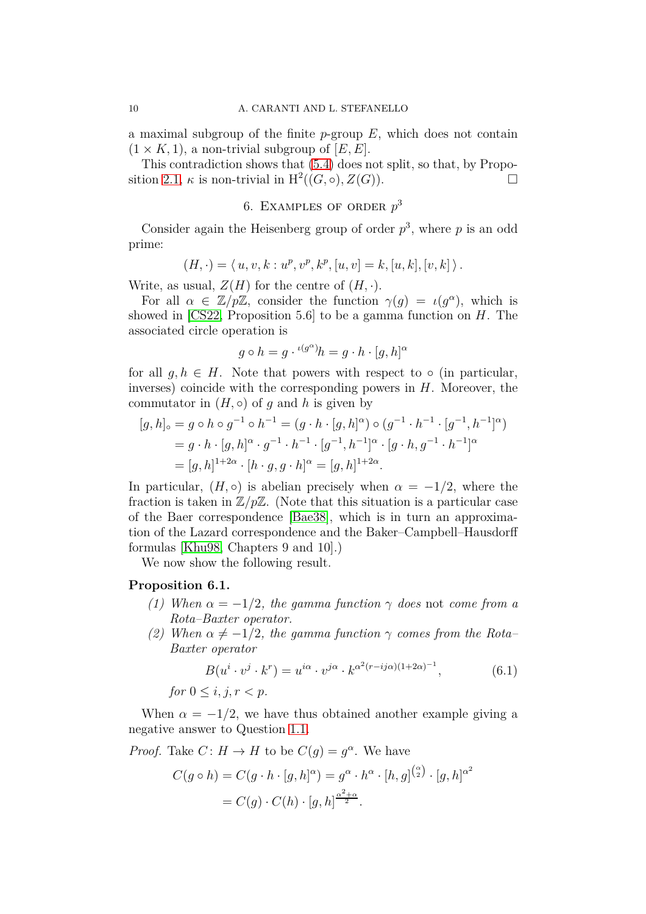a maximal subgroup of the finite *p*-group *E*, which does not contain  $(1 \times K, 1)$ , a non-trivial subgroup of  $[E, E]$ .

<span id="page-9-0"></span>This contradiction shows that [\(5.4\)](#page-8-0) does not split, so that, by Propo-sition [2.1,](#page-3-3)  $\kappa$  is non-trivial in  $H^2((G, \circ), Z(G))$ .

# 6. Examples of order *p* 3

Consider again the Heisenberg group of order  $p^3$ , where p is an odd prime:

$$
(H, \cdot) = \langle u, v, k : u^p, v^p, k^p, [u, v] = k, [u, k], [v, k] \rangle.
$$

Write, as usual,  $Z(H)$  for the centre of  $(H, \cdot)$ .

For all  $\alpha \in \mathbb{Z}/p\mathbb{Z}$ , consider the function  $\gamma(g) = \iota(g^{\alpha})$ , which is showed in [\[CS22,](#page-13-8) Proposition 5.6] to be a gamma function on *H*. The associated circle operation is

$$
g \circ h = g \cdot {}^{\iota(g^{\alpha})}h = g \cdot h \cdot [g, h]^{\alpha}
$$

for all  $g, h \in H$ . Note that powers with respect to  $\circ$  (in particular, inverses) coincide with the corresponding powers in *H*. Moreover, the commutator in  $(H, \circ)$  of *g* and *h* is given by

$$
[g, h]_{\circ} = g \circ h \circ g^{-1} \circ h^{-1} = (g \cdot h \cdot [g, h]^{\alpha}) \circ (g^{-1} \cdot h^{-1} \cdot [g^{-1}, h^{-1}]^{\alpha})
$$
  
=  $g \cdot h \cdot [g, h]^{\alpha} \cdot g^{-1} \cdot h^{-1} \cdot [g^{-1}, h^{-1}]^{\alpha} \cdot [g \cdot h, g^{-1} \cdot h^{-1}]^{\alpha}$   
=  $[g, h]^{1+2\alpha} \cdot [h \cdot g, g \cdot h]^{\alpha} = [g, h]^{1+2\alpha}$ .

In particular,  $(H, \circ)$  is abelian precisely when  $\alpha = -1/2$ , where the fraction is taken in  $\mathbb{Z}/p\mathbb{Z}$ . (Note that this situation is a particular case of the Baer correspondence [\[Bae38\]](#page-12-6), which is in turn an approximation of the Lazard correspondence and the Baker–Campbell–Hausdorff formulas [\[Khu98,](#page-13-10) Chapters 9 and 10].)

We now show the following result.

### **Proposition 6.1.**

- *(1) When*  $\alpha = -1/2$ *, the gamma function*  $\gamma$  *does* not *come from a Rota–Baxter operator.*
- *(2)* When  $\alpha \neq -1/2$ , the gamma function  $\gamma$  comes from the Rota– *Baxter operator*

<span id="page-9-1"></span>
$$
B(u^i \cdot v^j \cdot k^r) = u^{i\alpha} \cdot v^{j\alpha} \cdot k^{\alpha^2 (r - ij\alpha)(1 + 2\alpha)^{-1}}, \tag{6.1}
$$

*for*  $0 \le i, j, r \le p$ *.* 

When  $\alpha = -1/2$ , we have thus obtained another example giving a negative answer to Question [1.1.](#page-1-0)

*Proof.* Take  $C: H \to H$  to be  $C(g) = g^{\alpha}$ . We have

$$
C(g \circ h) = C(g \cdot h \cdot [g, h]^{\alpha}) = g^{\alpha} \cdot h^{\alpha} \cdot [h, g]^{(\alpha)} \cdot [g, h]^{\alpha^2}
$$

$$
= C(g) \cdot C(h) \cdot [g, h]^{\frac{\alpha^2 + \alpha}{2}}.
$$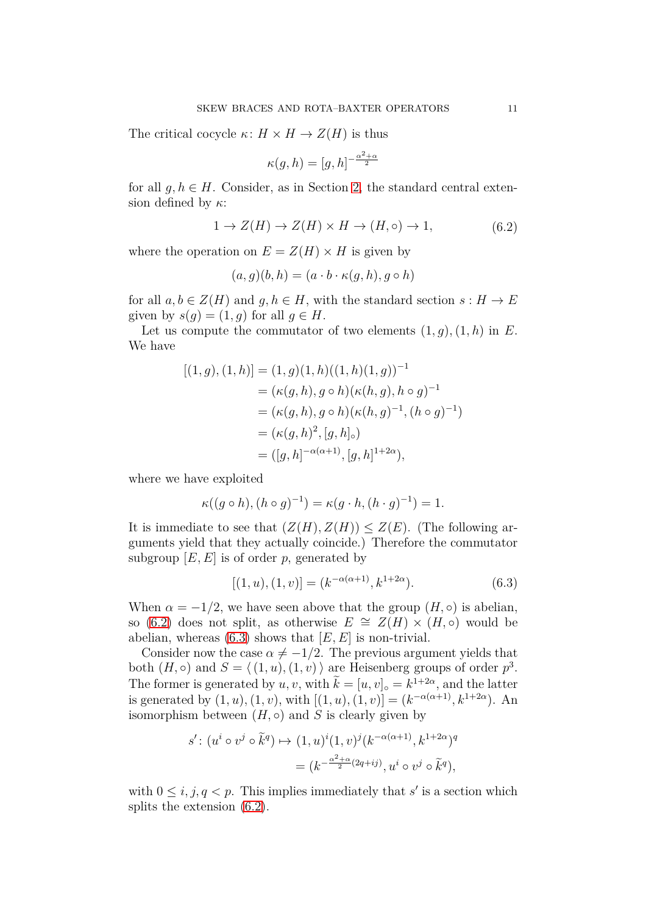The critical cocycle  $\kappa: H \times H \to Z(H)$  is thus

$$
\kappa(g, h) = [g, h]^{-\frac{\alpha^2 + \alpha}{2}}
$$

for all  $q, h \in H$ . Consider, as in Section [2,](#page-3-0) the standard central extension defined by *κ*:

<span id="page-10-0"></span>
$$
1 \to Z(H) \to Z(H) \times H \to (H, \circ) \to 1,\tag{6.2}
$$

where the operation on  $E = Z(H) \times H$  is given by

$$
(a,g)(b,h) = (a \cdot b \cdot \kappa(g,h), g \circ h)
$$

for all  $a, b \in Z(H)$  and  $g, h \in H$ , with the standard section  $s : H \to E$ given by  $s(q) = (1, q)$  for all  $q \in H$ .

Let us compute the commutator of two elements  $(1, g)$ ,  $(1, h)$  in *E*. We have

$$
[(1, g), (1, h)] = (1, g)(1, h)((1, h)(1, g))^{-1}
$$
  
=  $(\kappa(g, h), g \circ h)(\kappa(h, g), h \circ g)^{-1}$   
=  $(\kappa(g, h), g \circ h)(\kappa(h, g)^{-1}, (h \circ g)^{-1})$   
=  $(\kappa(g, h)^2, [g, h]_{\circ})$   
=  $([g, h]^{-\alpha(\alpha+1)}, [g, h]^{1+2\alpha}),$ 

where we have exploited

$$
\kappa((g \circ h), (h \circ g)^{-1}) = \kappa(g \cdot h, (h \cdot g)^{-1}) = 1.
$$

It is immediate to see that  $(Z(H), Z(H)) \leq Z(E)$ . (The following arguments yield that they actually coincide.) Therefore the commutator subgroup  $[E, E]$  is of order  $p$ , generated by

<span id="page-10-1"></span>
$$
[(1, u), (1, v)] = (k^{-\alpha(\alpha+1)}, k^{1+2\alpha}).
$$
\n(6.3)

When  $\alpha = -1/2$ , we have seen above that the group  $(H, \circ)$  is abelian, so [\(6.2\)](#page-10-0) does not split, as otherwise  $E \cong Z(H) \times (H, \circ)$  would be abelian, whereas  $(6.3)$  shows that  $[E, E]$  is non-trivial.

Consider now the case  $\alpha \neq -1/2$ . The previous argument yields that both  $(H, \circ)$  and  $S = \langle (1, u), (1, v) \rangle$  are Heisenberg groups of order  $p^3$ . The former is generated by  $u, v$ , with  $\tilde{k} = [u, v]_0 = k^{1+2\alpha}$ , and the latter is generated by  $(1, u)$ ,  $(1, v)$ , with  $[(1, u)$ ,  $(1, v)] = (k^{-\alpha(\alpha+1)}, k^{1+2\alpha})$ . An isomorphism between  $(H, \circ)$  and *S* is clearly given by

$$
s': (u^i \circ v^j \circ \tilde{k}^q) \mapsto (1, u)^i (1, v)^j (k^{-\alpha(\alpha+1)}, k^{1+2\alpha})^q
$$
  
= 
$$
(k^{-\frac{\alpha^2+\alpha}{2}(2q+ij)}, u^i \circ v^j \circ \tilde{k}^q),
$$

with  $0 \leq i, j, q < p$ . This implies immediately that *s'* is a section which splits the extension [\(6.2\)](#page-10-0).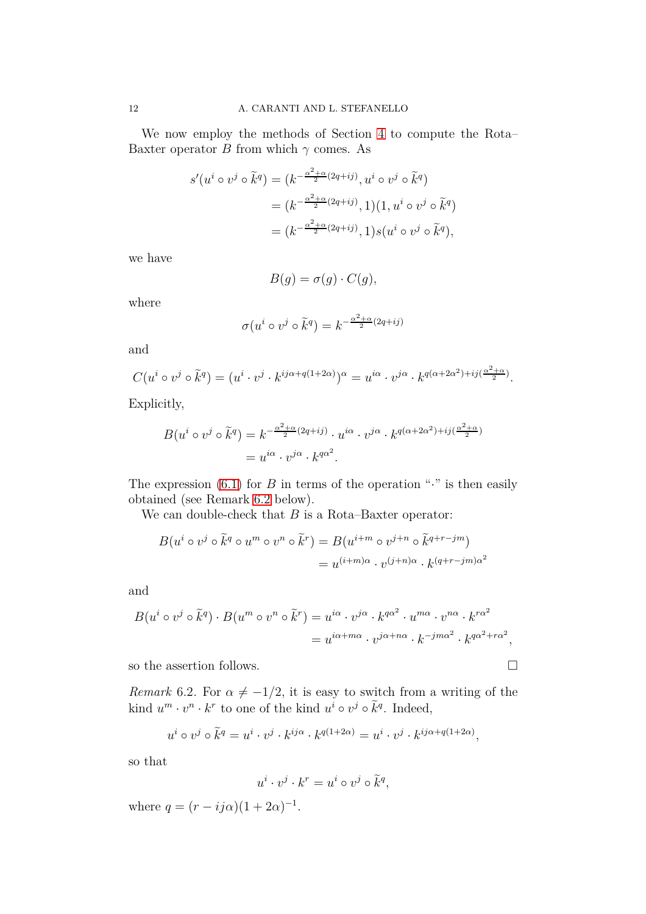We now employ the methods of Section [4](#page-5-1) to compute the Rota– Baxter operator *B* from which  $\gamma$  comes. As

$$
s'(u^i \circ v^j \circ \tilde{k}^q) = (k^{-\frac{\alpha^2 + \alpha}{2}(2q + ij)}, u^i \circ v^j \circ \tilde{k}^q)
$$
  
= 
$$
(k^{-\frac{\alpha^2 + \alpha}{2}(2q + ij)}, 1)(1, u^i \circ v^j \circ \tilde{k}^q)
$$
  
= 
$$
(k^{-\frac{\alpha^2 + \alpha}{2}(2q + ij)}, 1)s(u^i \circ v^j \circ \tilde{k}^q),
$$

we have

$$
B(g) = \sigma(g) \cdot C(g),
$$

where

$$
\sigma(u^i \circ v^j \circ \tilde{k}^q) = k^{-\frac{\alpha^2 + \alpha}{2}(2q + ij)}
$$

and

$$
C(u^i \circ v^j \circ \tilde{k}^q) = (u^i \cdot v^j \cdot k^{ij\alpha + q(1+2\alpha)})^{\alpha} = u^{i\alpha} \cdot v^{j\alpha} \cdot k^{q(\alpha+2\alpha^2) + ij(\frac{\alpha^2+\alpha}{2})}.
$$

Explicitly,

$$
B(u^i \circ v^j \circ \tilde{k}^q) = k^{-\frac{\alpha^2 + \alpha}{2}(2q + ij)} \cdot u^{i\alpha} \cdot v^{j\alpha} \cdot k^{q(\alpha + 2\alpha^2) + ij(\frac{\alpha^2 + \alpha}{2})}
$$
  
=  $u^{i\alpha} \cdot v^{j\alpha} \cdot k^{q\alpha^2}$ .

The expression  $(6.1)$  for *B* in terms of the operation " $\cdot$ " is then easily obtained (see Remark [6.2](#page-11-0) below).

We can double-check that *B* is a Rota–Baxter operator:

$$
B(u^i \circ v^j \circ \tilde{k}^q \circ u^m \circ v^n \circ \tilde{k}^r) = B(u^{i+m} \circ v^{j+n} \circ \tilde{k}^{q+r-jm})
$$
  
=  $u^{(i+m)\alpha} \cdot v^{(j+n)\alpha} \cdot k^{(q+r-jm)\alpha^2}$ 

and

$$
B(u^i \circ v^j \circ \tilde{k}^q) \cdot B(u^m \circ v^n \circ \tilde{k}^r) = u^{i\alpha} \cdot v^{j\alpha} \cdot k^{q\alpha^2} \cdot u^{m\alpha} \cdot v^{n\alpha} \cdot k^{r\alpha^2}
$$
  
=  $u^{i\alpha + m\alpha} \cdot v^{j\alpha + n\alpha} \cdot k^{-jm\alpha^2} \cdot k^{q\alpha^2 + r\alpha^2}$ ,

so the assertion follows.

<span id="page-11-0"></span>*Remark* 6.2. For  $\alpha \neq -1/2$ , it is easy to switch from a writing of the kind  $u^m \cdot v^n \cdot k^r$  to one of the kind  $u^i \circ v^j \circ \tilde{k}^q$ . Indeed,

$$
u^i \circ v^j \circ \tilde{k}^q = u^i \cdot v^j \cdot k^{ij\alpha} \cdot k^{q(1+2\alpha)} = u^i \cdot v^j \cdot k^{ij\alpha + q(1+2\alpha)},
$$

so that

$$
u^i \cdot v^j \cdot k^r = u^i \circ v^j \circ \tilde{k}^q,
$$

where  $q = (r - ij\alpha)(1 + 2\alpha)^{-1}$ .

$$
\sqcup
$$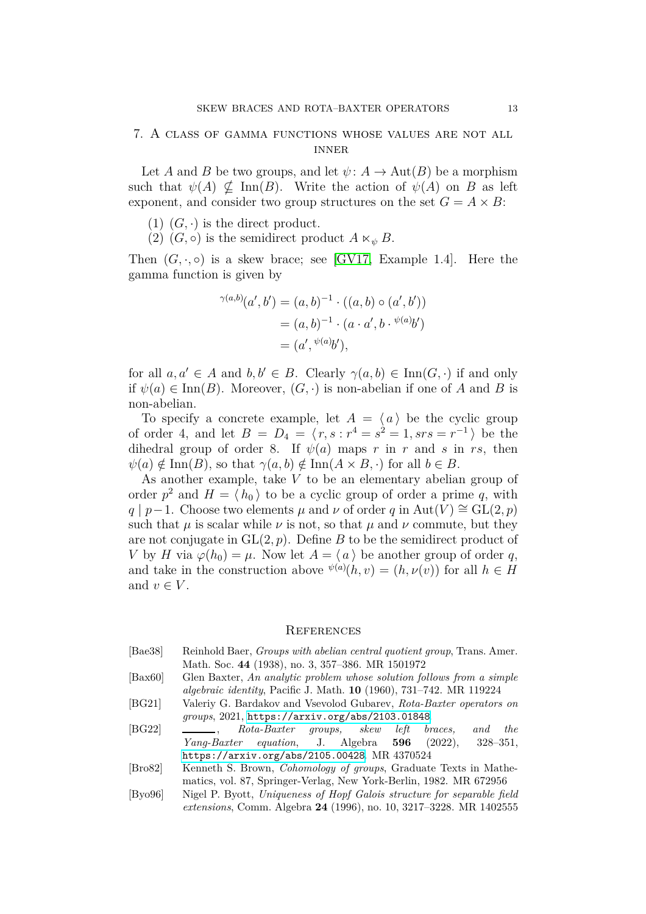### <span id="page-12-4"></span>7. A class of gamma functions whose values are not all **INNER**

Let *A* and *B* be two groups, and let  $\psi: A \to \text{Aut}(B)$  be a morphism such that  $\psi(A) \nsubseteq \text{Inn}(B)$ . Write the action of  $\psi(A)$  on *B* as left exponent, and consider two group structures on the set  $G = A \times B$ :

- $(1)$   $(G, \cdot)$  is the direct product.
- (2)  $(G, \circ)$  is the semidirect product  $A \ltimes_{\psi} B$ .

Then  $(G, \cdot, \circ)$  is a skew brace; see [\[GV17,](#page-13-1) Example 1.4]. Here the gamma function is given by

$$
\gamma^{(a,b)}(a',b') = (a,b)^{-1} \cdot ((a,b) \circ (a',b')) \n= (a,b)^{-1} \cdot (a \cdot a', b \cdot \sqrt[b(a)]b') \n= (a', \sqrt[b(a)]b'),
$$

for all  $a, a' \in A$  and  $b, b' \in B$ . Clearly  $\gamma(a, b) \in \text{Inn}(G, \cdot)$  if and only if  $\psi(a) \in \text{Inn}(B)$ . Moreover,  $(G, \cdot)$  is non-abelian if one of *A* and *B* is non-abelian.

To specify a concrete example, let  $A = \langle a \rangle$  be the cyclic group of order 4, and let  $B = D_4 = (r, s : r^4 = s^2 = 1, srs = r^{-1})$  be the dihedral group of order 8. If  $\psi(a)$  maps *r* in *r* and *s* in *rs*, then  $\psi(a) \notin \text{Inn}(B)$ , so that  $\gamma(a, b) \notin \text{Inn}(A \times B, \cdot)$  for all  $b \in B$ .

As another example, take *V* to be an elementary abelian group of order  $p^2$  and  $H = \langle h_0 \rangle$  to be a cyclic group of order a prime q, with  $q | p-1$ . Choose two elements  $\mu$  and  $\nu$  of order  $q$  in Aut(*V*)  $\cong$  GL(2*, p*) such that  $\mu$  is scalar while  $\nu$  is not, so that  $\mu$  and  $\nu$  commute, but they are not conjugate in  $GL(2, p)$ . Define *B* to be the semidirect product of *V* by *H* via  $\varphi(h_0) = \mu$ . Now let  $A = \langle a \rangle$  be another group of order *q*, and take in the construction above  $\psi^{(a)}(h, v) = (h, \nu(v))$  for all  $h \in H$ and  $v \in V$ .

#### **REFERENCES**

- <span id="page-12-6"></span>[Bae38] Reinhold Baer, *Groups with abelian central quotient group*, Trans. Amer. Math. Soc. **44** (1938), no. 3, 357–386. MR 1501972
- <span id="page-12-0"></span>[Bax60] Glen Baxter, *An analytic problem whose solution follows from a simple algebraic identity*, Pacific J. Math. **10** (1960), 731–742. MR 119224
- <span id="page-12-1"></span>[BG21] Valeriy G. Bardakov and Vsevolod Gubarev, *Rota-Baxter operators on groups*, 2021, <https://arxiv.org/abs/2103.01848>.
- <span id="page-12-2"></span>[BG22] , *Rota-Baxter groups, skew left braces, and the Yang-Baxter equation*, J. Algebra **596** (2022), 328–351, <https://arxiv.org/abs/2105.00428>. MR 4370524
- <span id="page-12-5"></span>[Bro82] Kenneth S. Brown, *Cohomology of groups*, Graduate Texts in Mathematics, vol. 87, Springer-Verlag, New York-Berlin, 1982. MR 672956
- <span id="page-12-3"></span>[Byo96] Nigel P. Byott, *Uniqueness of Hopf Galois structure for separable field extensions*, Comm. Algebra **24** (1996), no. 10, 3217–3228. MR 1402555